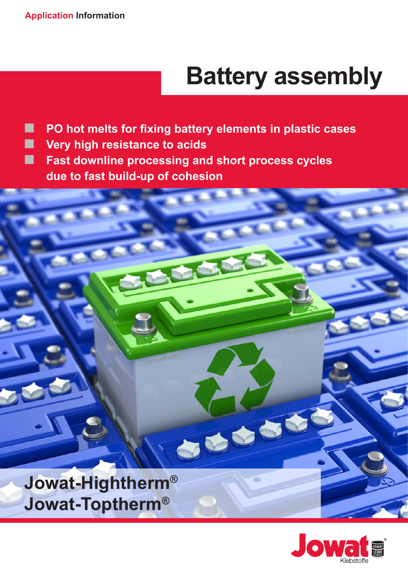# **Battery assembly**

**PO hot melts for fixing battery elements in plastic cases**

JOUE

- **Wery high resistance to acids**
- **Fast downline processing and short process cycles due to fast build-up of cohesion**



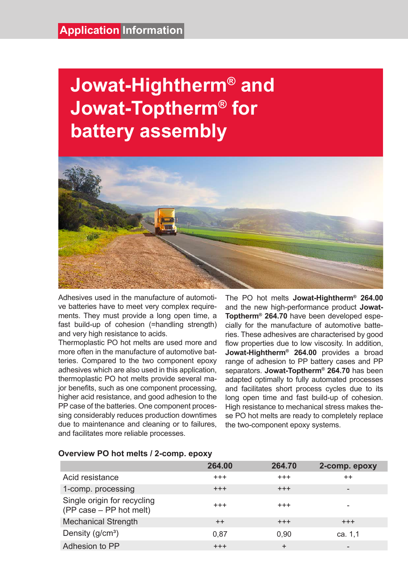## **Jowat-Hightherm® and Jowat-Toptherm® for battery assembly**



Adhesives used in the manufacture of automotive batteries have to meet very complex requirements. They must provide a long open time, a fast build-up of cohesion (=handling strength) and very high resistance to acids.

Thermoplastic PO hot melts are used more and more often in the manufacture of automotive batteries. Compared to the two component epoxy adhesives which are also used in this application, thermoplastic PO hot melts provide several major benefits, such as one component processing, higher acid resistance, and good adhesion to the PP case of the batteries. One component processing considerably reduces production downtimes due to maintenance and cleaning or to failures, and facilitates more reliable processes.

The PO hot melts **Jowat-Hightherm® 264.00** and the new high-performance product **Jowat-Toptherm® 264.70** have been developed especially for the manufacture of automotive batteries. These adhesives are characterised by good flow properties due to low viscosity. In addition, **Jowat-Hightherm® 264.00** provides a broad range of adhesion to PP battery cases and PP separators. **Jowat-Toptherm® 264.70** has been adapted optimally to fully automated processes and facilitates short process cycles due to its long open time and fast build-up of cohesion. High resistance to mechanical stress makes these PO hot melts are ready to completely replace the two-component epoxy systems.

|                                                        | 264.00     | 264.70    | 2-comp. epoxy                |
|--------------------------------------------------------|------------|-----------|------------------------------|
| Acid resistance                                        | $^{+++}$   | $+++$     | $++$                         |
| 1-comp. processing                                     | $+++$      | $+ + +$   | $\qquad \qquad \blacksquare$ |
| Single origin for recycling<br>(PP case – PP hot melt) | $^{+++}$   | $^{+++}$  | ۰                            |
| <b>Mechanical Strength</b>                             | $++$       | $+++$     | $+++$                        |
| Density $(g/cm3)$                                      | 0,87       | 0.90      | ca. 1,1                      |
| Adhesion to PP                                         | $^{+ + +}$ | $\ddot{}$ | $\qquad \qquad \blacksquare$ |

#### **Overview PO hot melts / 2-comp. epoxy**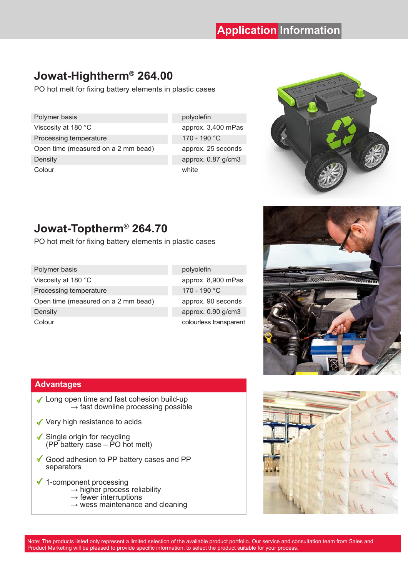## **Jowat-Hightherm® 264.00**

PO hot melt for fixing battery elements in plastic cases

| Polymer basis                       | polyc |
|-------------------------------------|-------|
| Viscosity at 180 °C                 | appro |
| Processing temperature              | 170 - |
| Open time (measured on a 2 mm bead) | appro |
| Density                             | appro |
| Colour                              | white |

polyolefin approx. 3,400 mPas 170 - 190 °C approx. 25 seconds approx.  $0.87$  g/cm3



### **Jowat-Toptherm® 264.70**

PO hot melt for fixing battery elements in plastic cases

| Polymer basis                       |
|-------------------------------------|
| Viscosity at 180 °C                 |
| Processing temperature              |
| Open time (measured on a 2 mm bead) |
| Density                             |
| Colour                              |

polyolefin approx. 8,900 mPas 170 - 190 °C approx. 90 seconds approx.  $0.90$  g/cm3 colourless transparent



#### **Advantages**

- ◆ Long open time and fast cohesion build-up  $\rightarrow$  fast downline processing possible
- ◆ Very high resistance to acids
- $\checkmark$  Single origin for recycling  $(PP<sup>o</sup>)$  battery case – PO hot melt)
- Good adhesion to PP battery cases and PP separators
- $\checkmark$  1-component processing
	- $\rightarrow$  higher process reliability
	- $\rightarrow$  fewer interruptions
	- $\rightarrow$  wess maintenance and cleaning